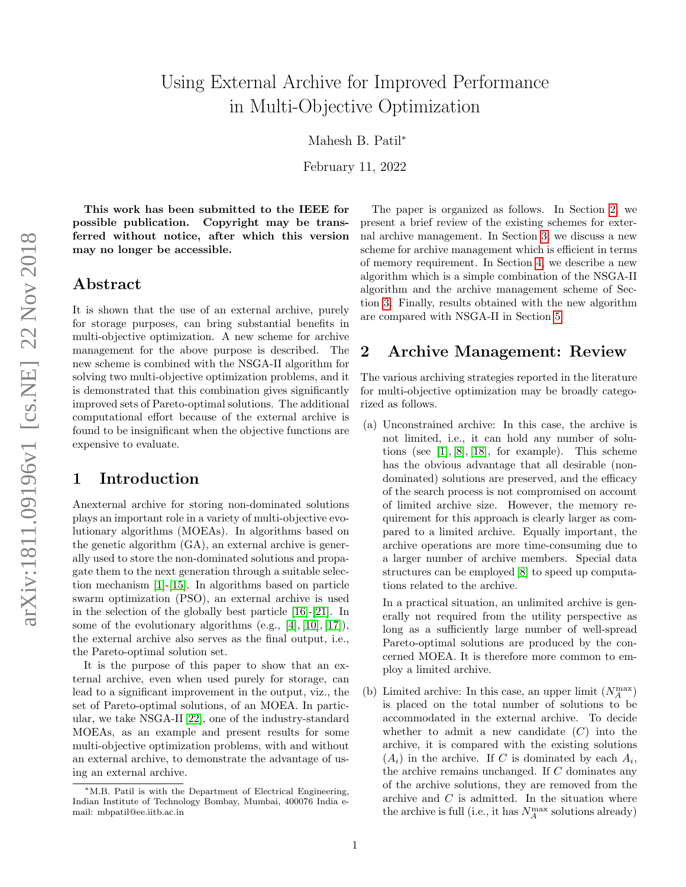# Using External Archive for Improved Performance in Multi-Objective Optimization

Mahesh B. Patil<sup>∗</sup>

February 11, 2022

This work has been submitted to the IEEE for possible publication. Copyright may be transferred without notice, after which this version may no longer be accessible.

#### Abstract

It is shown that the use of an external archive, purely for storage purposes, can bring substantial benefits in multi-objective optimization. A new scheme for archive management for the above purpose is described. The new scheme is combined with the NSGA-II algorithm for solving two multi-objective optimization problems, and it is demonstrated that this combination gives significantly improved sets of Pareto-optimal solutions. The additional computational effort because of the external archive is found to be insignificant when the objective functions are expensive to evaluate.

# 1 Introduction

Anexternal archive for storing non-dominated solutions plays an important role in a variety of multi-objective evolutionary algorithms (MOEAs). In algorithms based on the genetic algorithm (GA), an external archive is generally used to store the non-dominated solutions and propagate them to the next generation through a suitable selection mechanism [\[1\]](#page-5-0)-[\[15\]](#page-7-0). In algorithms based on particle swarm optimization (PSO), an external archive is used in the selection of the globally best particle [\[16\]](#page-7-1)-[\[21\]](#page-8-0). In some of the evolutionary algorithms (e.g.,  $[4], [10], [17]$  $[4], [10], [17]$  $[4], [10], [17]$  $[4], [10], [17]$  $[4], [10], [17]$ ), the external archive also serves as the final output, i.e., the Pareto-optimal solution set.

It is the purpose of this paper to show that an external archive, even when used purely for storage, can lead to a significant improvement in the output, viz., the set of Pareto-optimal solutions, of an MOEA. In particular, we take NSGA-II [\[22\]](#page-8-1), one of the industry-standard MOEAs, as an example and present results for some multi-objective optimization problems, with and without an external archive, to demonstrate the advantage of using an external archive.

The paper is organized as follows. In Section [2,](#page-0-0) we present a brief review of the existing schemes for external archive management. In Section [3,](#page-1-0) we discuss a new scheme for archive management which is efficient in terms of memory requirement. In Section [4,](#page-2-0) we describe a new algorithm which is a simple combination of the NSGA-II algorithm and the archive management scheme of Section [3.](#page-1-0) Finally, results obtained with the new algorithm are compared with NSGA-II in Section [5.](#page-4-0)

# <span id="page-0-0"></span>2 Archive Management: Review

The various archiving strategies reported in the literature for multi-objective optimization may be broadly categorized as follows.

(a) Unconstrained archive: In this case, the archive is not limited, i.e., it can hold any number of solutions (see  $[1], [8], [18]$  $[1], [8], [18]$  $[1], [8], [18]$  $[1], [8], [18]$  $[1], [8], [18]$ , for example). This scheme has the obvious advantage that all desirable (nondominated) solutions are preserved, and the efficacy of the search process is not compromised on account of limited archive size. However, the memory requirement for this approach is clearly larger as compared to a limited archive. Equally important, the archive operations are more time-consuming due to a larger number of archive members. Special data structures can be employed [\[8\]](#page-7-4) to speed up computations related to the archive.

In a practical situation, an unlimited archive is generally not required from the utility perspective as long as a sufficiently large number of well-spread Pareto-optimal solutions are produced by the concerned MOEA. It is therefore more common to employ a limited archive.

(b) Limited archive: In this case, an upper limit  $(N_A^{\text{max}})$ is placed on the total number of solutions to be accommodated in the external archive. To decide whether to admit a new candidate  $(C)$  into the archive, it is compared with the existing solutions  $(A_i)$  in the archive. If C is dominated by each  $A_i$ , the archive remains unchanged. If C dominates any of the archive solutions, they are removed from the archive and  $C$  is admitted. In the situation where the archive is full (i.e., it has  $N_A^{\max}$  solutions already)

<sup>∗</sup>M.B. Patil is with the Department of Electrical Engineering, Indian Institute of Technology Bombay, Mumbai, 400076 India email: mbpatil@ee.iitb.ac.in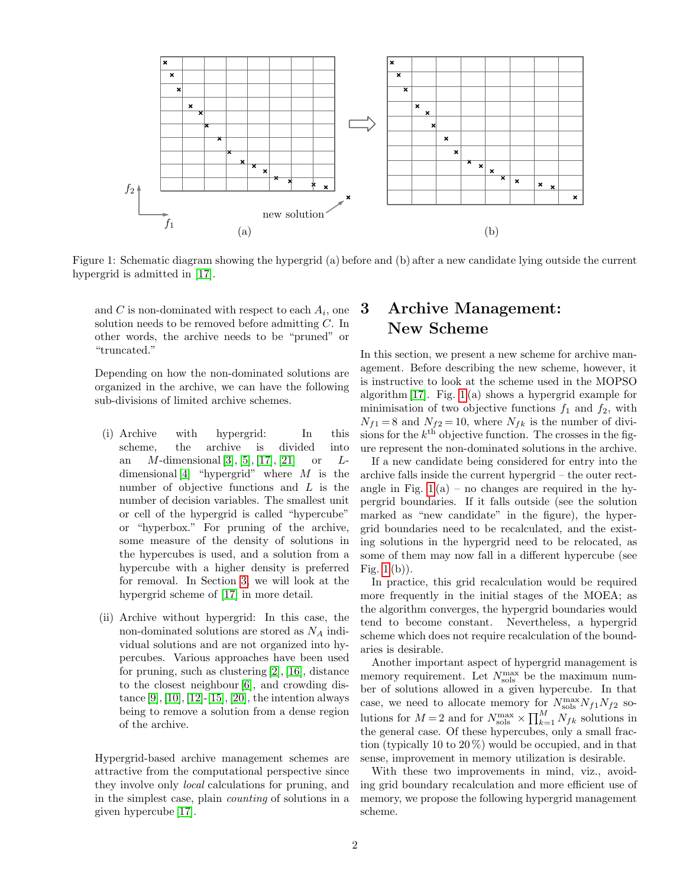

<span id="page-1-1"></span>Figure 1: Schematic diagram showing the hypergrid (a) before and (b) after a new candidate lying outside the current hypergrid is admitted in [\[17\]](#page-7-3).

and C is non-dominated with respect to each  $A_i$ , one solution needs to be removed before admitting C. In other words, the archive needs to be "pruned" or "truncated."

Depending on how the non-dominated solutions are organized in the archive, we can have the following sub-divisions of limited archive schemes.

- (i) Archive with hypergrid: In this scheme, the archive is divided into an *M*-dimensional [\[3\]](#page-5-2), [\[5\]](#page-5-3), [\[17\]](#page-7-3), [\[21\]](#page-8-0) or *L*dimensional  $[4]$  "hypergrid" where M is the number of objective functions and L is the number of decision variables. The smallest unit or cell of the hypergrid is called "hypercube" or "hyperbox." For pruning of the archive, some measure of the density of solutions in the hypercubes is used, and a solution from a hypercube with a higher density is preferred for removal. In Section [3,](#page-1-0) we will look at the hypergrid scheme of [\[17\]](#page-7-3) in more detail.
- (ii) Archive without hypergrid: In this case, the non-dominated solutions are stored as  $N_A$  individual solutions and are not organized into hypercubes. Various approaches have been used for pruning, such as clustering [\[2\]](#page-5-4), [\[16\]](#page-7-1), distance to the closest neighbour [\[6\]](#page-5-5), and crowding distance  $[9]$ ,  $[10]$ ,  $[12]$ - $[15]$ ,  $[20]$ , the intention always being to remove a solution from a dense region of the archive.

Hypergrid-based archive management schemes are attractive from the computational perspective since they involve only local calculations for pruning, and in the simplest case, plain counting of solutions in a given hypercube [\[17\]](#page-7-3).

# <span id="page-1-0"></span>3 Archive Management: New Scheme

In this section, we present a new scheme for archive management. Before describing the new scheme, however, it is instructive to look at the scheme used in the MOPSO algorithm [\[17\]](#page-7-3). Fig. [1](#page-1-1) (a) shows a hypergrid example for minimisation of two objective functions  $f_1$  and  $f_2$ , with  $N_{f1} = 8$  and  $N_{f2} = 10$ , where  $N_{fk}$  is the number of divisions for the  $k^{\text{th}}$  objective function. The crosses in the figure represent the non-dominated solutions in the archive.

If a new candidate being considered for entry into the archive falls inside the current hypergrid – the outer rectangle in Fig.  $1(a)$  – no changes are required in the hypergrid boundaries. If it falls outside (see the solution marked as "new candidate" in the figure), the hypergrid boundaries need to be recalculated, and the existing solutions in the hypergrid need to be relocated, as some of them may now fall in a different hypercube (see Fig. [1](#page-1-1) (b)).

In practice, this grid recalculation would be required more frequently in the initial stages of the MOEA; as the algorithm converges, the hypergrid boundaries would tend to become constant. Nevertheless, a hypergrid scheme which does not require recalculation of the boundaries is desirable.

Another important aspect of hypergrid management is memory requirement. Let  $N_{\rm sols}^{\rm max}$  be the maximum number of solutions allowed in a given hypercube. In that case, we need to allocate memory for  $N_{\text{sols}}^{\text{max}} N_{f1} N_{f2}$  solutions for  $M=2$  and for  $N_{\text{sols}}^{\text{max}} \times \prod_{k=1}^{M} N_{fk}$  solutions in the general case. Of these hypercubes, only a small fraction (typically 10 to 20 %) would be occupied, and in that sense, improvement in memory utilization is desirable.

With these two improvements in mind, viz., avoiding grid boundary recalculation and more efficient use of memory, we propose the following hypergrid management scheme.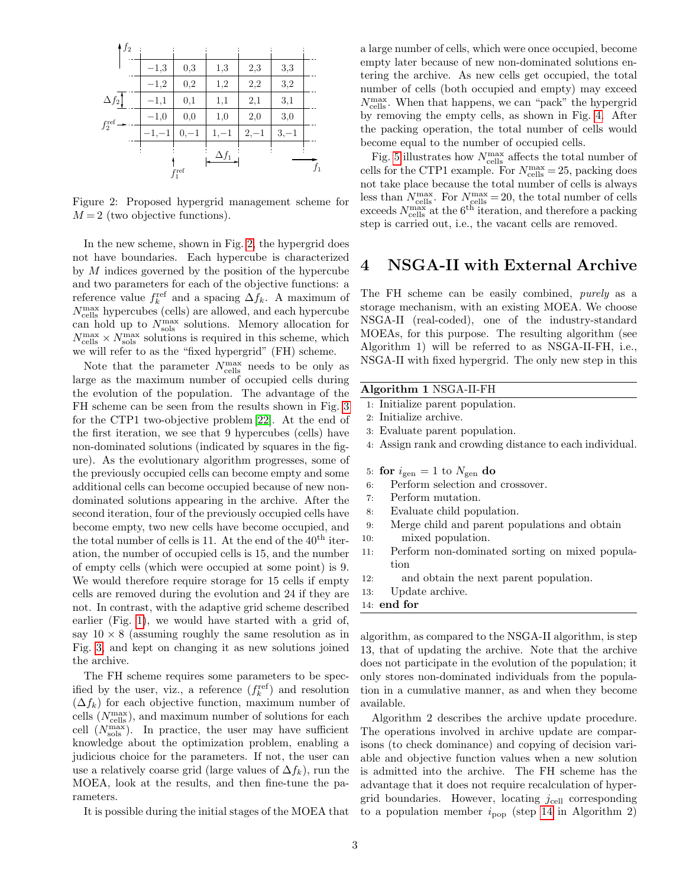| $\frac{1}{2}$      |         |                 |              |         |         |       |
|--------------------|---------|-----------------|--------------|---------|---------|-------|
|                    | $-1,3$  | $_{0,3}$        | 1,3          | 2,3     | 3,3     |       |
|                    | $-1,2$  | $_{0,2}$        | 1,2          | 2,2     | 3,2     |       |
| $\Delta f_2$       | $-1,1$  | $_{0,1}$        | 1,1          | 2,1     | 3,1     |       |
| $f_2^{\text{ref}}$ | $-1,0$  | 0,0             | 1,0          | 2,0     | 3,0     |       |
|                    | $-1,-1$ | $0,-1$          | $1, -1$      | $2, -1$ | $3, -1$ |       |
|                    |         | $f_1^{\rm ref}$ | $\Delta f_1$ |         |         | $f_1$ |

<span id="page-2-1"></span>Figure 2: Proposed hypergrid management scheme for  $M = 2$  (two objective functions).

In the new scheme, shown in Fig. [2,](#page-2-1) the hypergrid does not have boundaries. Each hypercube is characterized by  $M$  indices governed by the position of the hypercube and two parameters for each of the objective functions: a reference value  $f_k^{\text{ref}}$  and a spacing  $\Delta f_k$ . A maximum of  $N_{\mathrm{cells}}^{\mathrm{max}}$  hypercubes (cells) are allowed, and each hypercube can hold up to  $N_{\rm sols}^{\rm max}$  solutions. Memory allocation for  $N_{\text{cells}}^{\text{max}} \times N_{\text{sols}}^{\text{max}}$  solutions is required in this scheme, which we will refer to as the "fixed hypergrid" (FH) scheme.

Note that the parameter  $N_{\text{cells}}^{\text{max}}$  needs to be only as large as the maximum number of occupied cells during the evolution of the population. The advantage of the FH scheme can be seen from the results shown in Fig. [3](#page-3-0) for the CTP1 two-objective problem [\[22\]](#page-8-1). At the end of the first iteration, we see that 9 hypercubes (cells) have non-dominated solutions (indicated by squares in the figure). As the evolutionary algorithm progresses, some of the previously occupied cells can become empty and some additional cells can become occupied because of new nondominated solutions appearing in the archive. After the second iteration, four of the previously occupied cells have become empty, two new cells have become occupied, and the total number of cells is 11. At the end of the  $40<sup>th</sup>$  iteration, the number of occupied cells is 15, and the number of empty cells (which were occupied at some point) is 9. We would therefore require storage for 15 cells if empty cells are removed during the evolution and 24 if they are not. In contrast, with the adaptive grid scheme described earlier (Fig. [1\)](#page-1-1), we would have started with a grid of, say  $10 \times 8$  (assuming roughly the same resolution as in Fig. [3,](#page-3-0) and kept on changing it as new solutions joined the archive.

The FH scheme requires some parameters to be specified by the user, viz., a reference  $(f_k^{\text{ref}})$  and resolution  $(\Delta f_k)$  for each objective function, maximum number of cells  $(N_{\text{cells}}^{\text{max}})$ , and maximum number of solutions for each cell  $(N_{\rm sols}^{\rm max})$ . In practice, the user may have sufficient knowledge about the optimization problem, enabling a judicious choice for the parameters. If not, the user can use a relatively coarse grid (large values of  $\Delta f_k$ ), run the MOEA, look at the results, and then fine-tune the parameters.

It is possible during the initial stages of the MOEA that

a large number of cells, which were once occupied, become empty later because of new non-dominated solutions entering the archive. As new cells get occupied, the total number of cells (both occupied and empty) may exceed  $N_{\rm cells}^{\rm max}.$  When that happens, we can "pack" the hypergrid by removing the empty cells, as shown in Fig. [4.](#page-4-1) After the packing operation, the total number of cells would become equal to the number of occupied cells.

Fig. [5](#page-4-2) illustrates how  $N_{\mathrm{cells}}^{\mathrm{max}}$  affects the total number of cells for the CTP1 example. For  $N_{\text{cells}}^{\text{max}} = 25$ , packing does not take place because the total number of cells is always less than  $N_{\text{cells}}^{\text{max}}$ . For  $N_{\text{cells}}^{\text{max}} = 20$ , the total number of cells exceeds  $N_{\text{cells}}^{\text{max}}$  at the 6<sup>th</sup> iteration, and therefore a packing step is carried out, i.e., the vacant cells are removed.

### <span id="page-2-0"></span>4 NSGA-II with External Archive

The FH scheme can be easily combined, purely as a storage mechanism, with an existing MOEA. We choose NSGA-II (real-coded), one of the industry-standard MOEAs, for this purpose. The resulting algorithm (see Algorithm 1) will be referred to as NSGA-II-FH, i.e., NSGA-II with fixed hypergrid. The only new step in this

#### Algorithm 1 NSGA-II-FH

- 1: Initialize parent population.
- 2: Initialize archive.
- 3: Evaluate parent population.
- 4: Assign rank and crowding distance to each individual.
- 5: for  $i_{gen} = 1$  to  $N_{gen}$  do
- 6: Perform selection and crossover.
- 7: Perform mutation.
- 8: Evaluate child population.
- 9: Merge child and parent populations and obtain 10: mixed population.
- 11: Perform non-dominated sorting on mixed population
- 12: and obtain the next parent population.
- 13: Update archive.
- 14: end for

algorithm, as compared to the NSGA-II algorithm, is step 13, that of updating the archive. Note that the archive does not participate in the evolution of the population; it only stores non-dominated individuals from the population in a cumulative manner, as and when they become available.

Algorithm 2 describes the archive update procedure. The operations involved in archive update are comparisons (to check dominance) and copying of decision variable and objective function values when a new solution is admitted into the archive. The FH scheme has the advantage that it does not require recalculation of hypergrid boundaries. However, locating  $j_{cell}$  corresponding to a population member  $i_{\text{pop}}$  (step [14](#page-4-3) in Algorithm 2)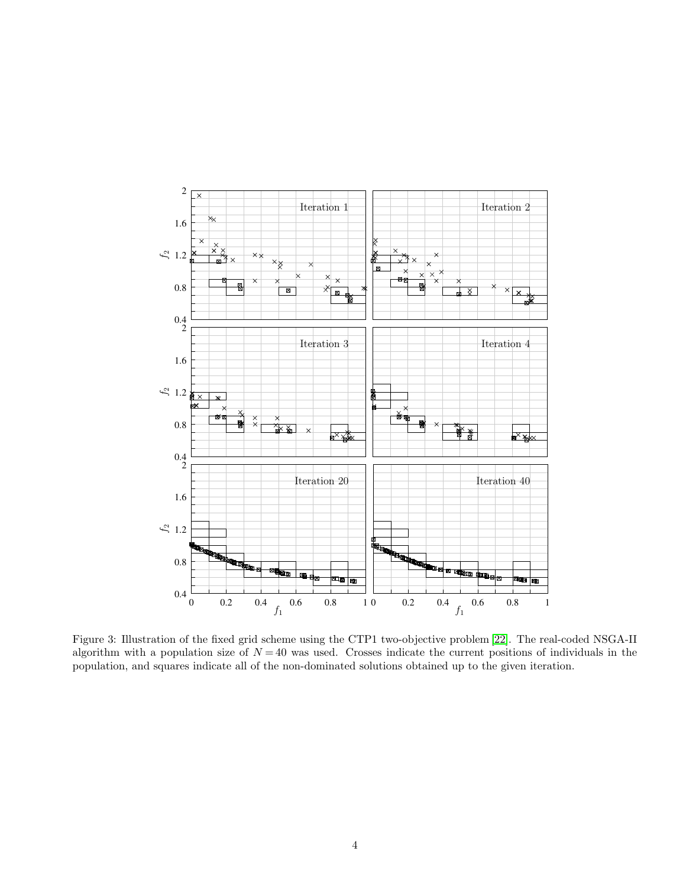

<span id="page-3-0"></span>Figure 3: Illustration of the fixed grid scheme using the CTP1 two-objective problem [\[22\]](#page-8-1). The real-coded NSGA-II algorithm with a population size of  $N = 40$  was used. Crosses indicate the current positions of individuals in the population, and squares indicate all of the non-dominated solutions obtained up to the given iteration.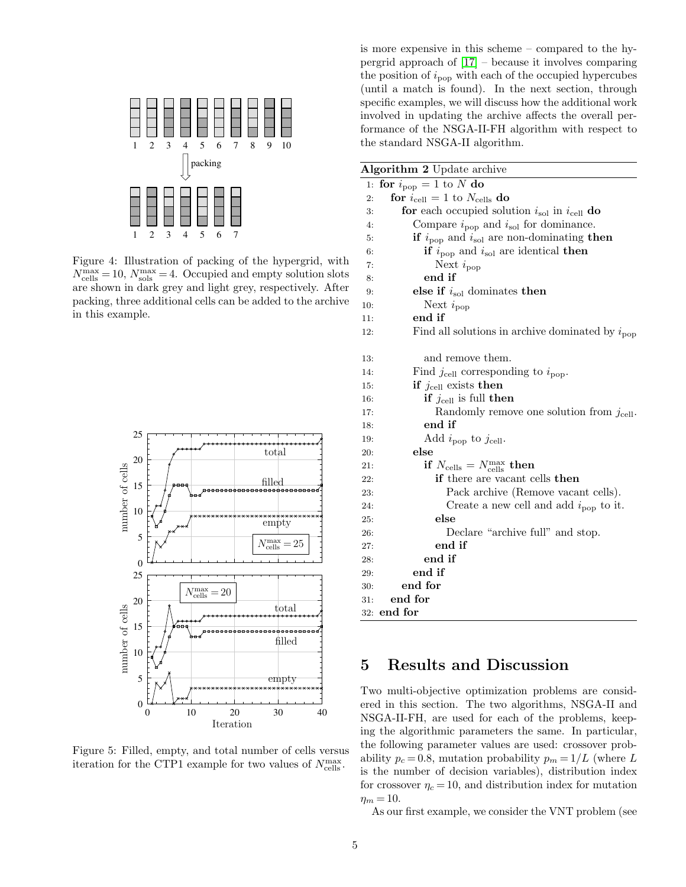

<span id="page-4-1"></span>Figure 4: Illustration of packing of the hypergrid, with  $N_{\text{cells}}^{\text{max}} = 10, N_{\text{sols}}^{\text{max}} = 4.$  Occupied and empty solution slots are shown in dark grey and light grey, respectively. After packing, three additional cells can be added to the archive in this example.



<span id="page-4-2"></span>Figure 5: Filled, empty, and total number of cells versus iteration for the CTP1 example for two values of  $N_{\rm cells}^{\rm max}$ .

is more expensive in this scheme – compared to the hypergrid approach of [\[17\]](#page-7-3) – because it involves comparing the position of  $i_{\text{pop}}$  with each of the occupied hypercubes (until a match is found). In the next section, through specific examples, we will discuss how the additional work involved in updating the archive affects the overall performance of the NSGA-II-FH algorithm with respect to the standard NSGA-II algorithm.

<span id="page-4-3"></span>

|     | <b>Algorithm 2</b> Update archive                                              |
|-----|--------------------------------------------------------------------------------|
| 1:  | for $i_{\text{pop}} = 1$ to N do                                               |
| 2:  | for $i_{\text{cell}} = 1$ to $N_{\text{cells}}$ do                             |
| 3:  | for each occupied solution $i_{\text{sol}}$ in $i_{\text{cell}}$ do            |
| 4:  | Compare $i_{\text{pop}}$ and $i_{\text{sol}}$ for dominance.                   |
| 5:  | <b>if</b> $i_{\text{pop}}$ and $i_{\text{sol}}$ are non-dominating <b>then</b> |
| 6:  | if $i_{\text{pop}}$ and $i_{\text{sol}}$ are identical then                    |
| 7:  | Next $i_{\text{pop}}$                                                          |
| 8:  | end if                                                                         |
| 9:  | else if $i_{\text{sol}}$ dominates then                                        |
| 10. | Next $i_{\text{pop}}$                                                          |
| 11: | end if                                                                         |
| 12: | Find all solutions in archive dominated by $i_{\text{pop}}$                    |
| 13. | and remove them.                                                               |
| 14: | Find $j_{\text{cell}}$ corresponding to $i_{\text{pop}}$ .                     |
| 15. | if $j_{\text{cell}}$ exists then                                               |
| 16: | <b>if</b> $j_{\text{cell}}$ is full then                                       |
| 17: | Randomly remove one solution from $j_{cell}$ .                                 |
| 18: | end if                                                                         |
| 19. | Add $i_{\rm pop}$ to $j_{\rm cell}$ .                                          |
| 20: | else                                                                           |
| 21: | if $N_{\text{cells}} = N_{\text{cells}}^{\text{max}}$ then                     |
| 22: | <b>if</b> there are vacant cells <b>then</b>                                   |
| 23: | Pack archive (Remove vacant cells).                                            |
| 24: | Create a new cell and add $i_{\text{pop}}$ to it.                              |
| 25: | else                                                                           |
| 26: | Declare "archive full" and stop.                                               |
| 27: | end if                                                                         |
| 28: | end if                                                                         |
| 29: | end if                                                                         |
| 30. | end for                                                                        |
| 31: | end for                                                                        |
|     | $32:$ end for                                                                  |

# <span id="page-4-0"></span>5 Results and Discussion

Two multi-objective optimization problems are considered in this section. The two algorithms, NSGA-II and NSGA-II-FH, are used for each of the problems, keeping the algorithmic parameters the same. In particular, the following parameter values are used: crossover probability  $p_c = 0.8$ , mutation probability  $p_m = 1/L$  (where L is the number of decision variables), distribution index for crossover  $\eta_c = 10$ , and distribution index for mutation  $\eta_m = 10$ .

As our first example, we consider the VNT problem (see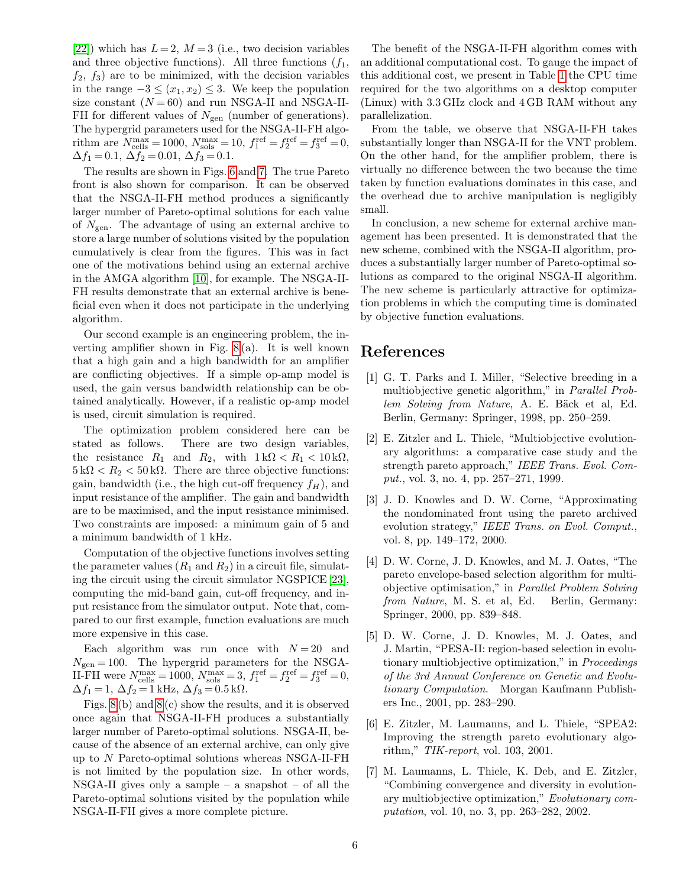[\[22\]](#page-8-1)) which has  $L = 2$ ,  $M = 3$  (i.e., two decision variables and three objective functions). All three functions  $(f_1, f_2)$  $f_2, f_3$  are to be minimized, with the decision variables in the range  $-3 \leq (x_1, x_2) \leq 3$ . We keep the population size constant  $(N = 60)$  and run NSGA-II and NSGA-II-FH for different values of  $N_{\text{gen}}$  (number of generations). The hypergrid parameters used for the NSGA-II-FH algorithm are  $N_{\text{cells}}^{\text{max}} = 1000, N_{\text{sols}}^{\text{max}} = 10, f_1^{\text{ref}} = f_2^{\text{ref}} = f_3^{\text{ref}} = 0,$  $\Delta f_1 = 0.1, \ \Delta f_2 = 0.01, \ \Delta f_3 = 0.1.$ 

The results are shown in Figs. [6](#page-6-0) and [7.](#page-6-1) The true Pareto front is also shown for comparison. It can be observed that the NSGA-II-FH method produces a significantly larger number of Pareto-optimal solutions for each value of  $N_{\text{gen}}$ . The advantage of using an external archive to store a large number of solutions visited by the population cumulatively is clear from the figures. This was in fact one of the motivations behind using an external archive in the AMGA algorithm [\[10\]](#page-7-2), for example. The NSGA-II-FH results demonstrate that an external archive is beneficial even when it does not participate in the underlying algorithm.

Our second example is an engineering problem, the inverting amplifier shown in Fig. [8](#page-7-8) (a). It is well known that a high gain and a high bandwidth for an amplifier are conflicting objectives. If a simple op-amp model is used, the gain versus bandwidth relationship can be obtained analytically. However, if a realistic op-amp model is used, circuit simulation is required.

The optimization problem considered here can be stated as follows. There are two design variables, the resistance  $R_1$  and  $R_2$ , with  $1 \text{ k}\Omega < R_1 < 10 \text{ k}\Omega$ ,  $5 k\Omega < R_2 < 50 k\Omega$ . There are three objective functions: gain, bandwidth (i.e., the high cut-off frequency  $f_H$ ), and input resistance of the amplifier. The gain and bandwidth are to be maximised, and the input resistance minimised. Two constraints are imposed: a minimum gain of 5 and a minimum bandwidth of 1 kHz.

Computation of the objective functions involves setting the parameter values  $(R_1 \text{ and } R_2)$  in a circuit file, simulating the circuit using the circuit simulator NGSPICE [\[23\]](#page-8-3), computing the mid-band gain, cut-off frequency, and input resistance from the simulator output. Note that, compared to our first example, function evaluations are much more expensive in this case.

Each algorithm was run once with  $N = 20$  and  $N_{\text{gen}} = 100$ . The hypergrid parameters for the NSGA-II-FH were  $N_{\text{cells}}^{\text{max}} = 1000, N_{\text{sols}}^{\text{max}} = 3, f_1^{\text{ref}} = f_2^{\text{ref}} = f_3^{\text{ref}} = 0,$  $\Delta f_1 = 1, \, \Delta f_2 = 1$  kHz,  $\Delta f_3 = 0.5$  k $\Omega$ .

Figs. [8](#page-7-8) (b) and [8](#page-7-8) (c) show the results, and it is observed once again that NSGA-II-FH produces a substantially larger number of Pareto-optimal solutions. NSGA-II, because of the absence of an external archive, can only give up to N Pareto-optimal solutions whereas NSGA-II-FH is not limited by the population size. In other words,  $NSGA-II$  gives only a sample – a snapshot – of all the Pareto-optimal solutions visited by the population while NSGA-II-FH gives a more complete picture.

The benefit of the NSGA-II-FH algorithm comes with an additional computational cost. To gauge the impact of this additional cost, we present in Table [1](#page-7-9) the CPU time required for the two algorithms on a desktop computer (Linux) with 3.3 GHz clock and 4 GB RAM without any parallelization.

From the table, we observe that NSGA-II-FH takes substantially longer than NSGA-II for the VNT problem. On the other hand, for the amplifier problem, there is virtually no difference between the two because the time taken by function evaluations dominates in this case, and the overhead due to archive manipulation is negligibly small.

In conclusion, a new scheme for external archive management has been presented. It is demonstrated that the new scheme, combined with the NSGA-II algorithm, produces a substantially larger number of Pareto-optimal solutions as compared to the original NSGA-II algorithm. The new scheme is particularly attractive for optimization problems in which the computing time is dominated by objective function evaluations.

#### References

- <span id="page-5-0"></span>[1] G. T. Parks and I. Miller, "Selective breeding in a multiobjective genetic algorithm," in Parallel Problem Solving from Nature, A. E. Bäck et al, Ed. Berlin, Germany: Springer, 1998, pp. 250–259.
- <span id="page-5-4"></span>[2] E. Zitzler and L. Thiele, "Multiobjective evolutionary algorithms: a comparative case study and the strength pareto approach," IEEE Trans. Evol. Comput., vol. 3, no. 4, pp. 257–271, 1999.
- <span id="page-5-2"></span>[3] J. D. Knowles and D. W. Corne, "Approximating the nondominated front using the pareto archived evolution strategy," IEEE Trans. on Evol. Comput., vol. 8, pp. 149–172, 2000.
- <span id="page-5-1"></span>[4] D. W. Corne, J. D. Knowles, and M. J. Oates, "The pareto envelope-based selection algorithm for multiobjective optimisation," in Parallel Problem Solving from Nature, M. S. et al, Ed. Berlin, Germany: Springer, 2000, pp. 839–848.
- <span id="page-5-3"></span>[5] D. W. Corne, J. D. Knowles, M. J. Oates, and J. Martin, "PESA-II: region-based selection in evolutionary multiobjective optimization," in Proceedings of the 3rd Annual Conference on Genetic and Evolutionary Computation. Morgan Kaufmann Publishers Inc., 2001, pp. 283–290.
- <span id="page-5-5"></span>[6] E. Zitzler, M. Laumanns, and L. Thiele, "SPEA2: Improving the strength pareto evolutionary algorithm," TIK-report, vol. 103, 2001.
- [7] M. Laumanns, L. Thiele, K. Deb, and E. Zitzler, "Combining convergence and diversity in evolutionary multiobjective optimization," Evolutionary computation, vol. 10, no. 3, pp. 263–282, 2002.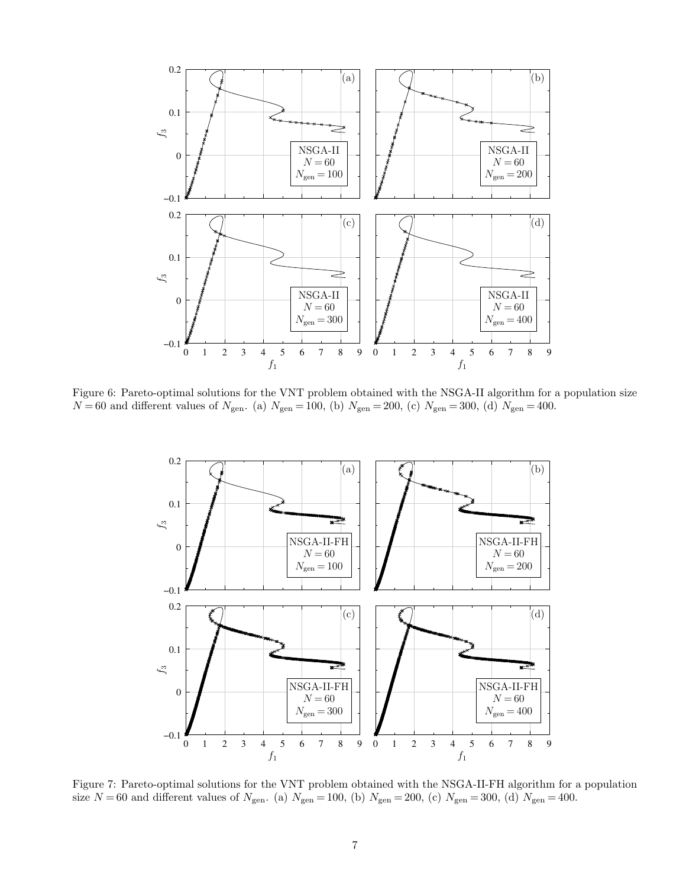

<span id="page-6-0"></span>Figure 6: Pareto-optimal solutions for the VNT problem obtained with the NSGA-II algorithm for a population size  $N\!=\!60$  and different values of  $N_{\rm gen.}$  (a)  $N_{\rm gen}=100,$  (b)  $N_{\rm gen}=200,$  (c)  $N_{\rm gen}=300,$  (d)  $N_{\rm gen}=400.$ 



<span id="page-6-1"></span>Figure 7: Pareto-optimal solutions for the VNT problem obtained with the NSGA-II-FH algorithm for a population size  $N = 60$  and different values of  $N_{\text{gen}}$ . (a)  $N_{\text{gen}} = 100$ , (b)  $N_{\text{gen}} = 200$ , (c)  $N_{\text{gen}} = 300$ , (d)  $N_{\text{gen}} = 400$ .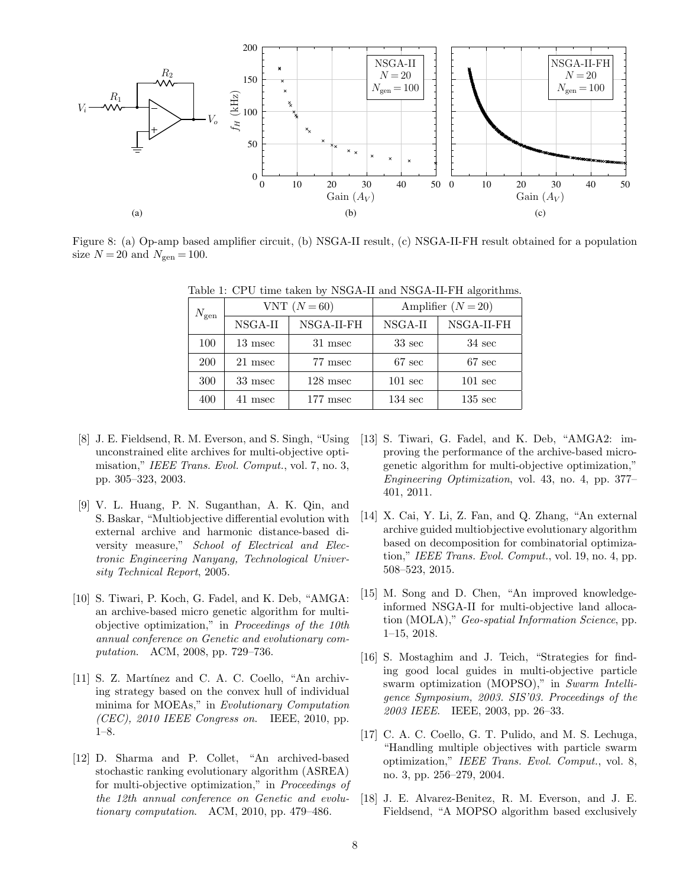

<span id="page-7-8"></span>Figure 8: (a) Op-amp based amplifier circuit, (b) NSGA-II result, (c) NSGA-II-FH result obtained for a population size  $N\,{=}\,20$  and  $N_{\rm gen}\,{=}\,100.$ 

| $N_{\rm gen}$ |            |         | VNT $(N=60)$ | Amplifier $(N=20)$ |                   |  |
|---------------|------------|---------|--------------|--------------------|-------------------|--|
|               |            | NSGA-II | NSGA-II-FH   | NSGA-II            | NSGA-II-FH        |  |
|               | 100        | 13 msec | 31 msec      | $33 \text{ sec}$   | $34 \text{ sec}$  |  |
|               | <b>200</b> | 21 msec | 77 msec      | $67 \text{ sec}$   | $67 \text{ sec}$  |  |
|               | 300        | 33 msec | $128$ msec   | $101 \text{ sec}$  | $101 \text{ sec}$ |  |
|               | 400        | 41 msec | $177$ msec   | $134 \text{ sec}$  | $135 \text{ sec}$ |  |

<span id="page-7-9"></span>Table 1: CPU time taken by NSGA-II and NSGA-II-FH algorithms.

- <span id="page-7-4"></span>[8] J. E. Fieldsend, R. M. Everson, and S. Singh, "Using unconstrained elite archives for multi-objective optimisation," IEEE Trans. Evol. Comput., vol. 7, no. 3, pp. 305–323, 2003.
- <span id="page-7-6"></span>[9] V. L. Huang, P. N. Suganthan, A. K. Qin, and S. Baskar, "Multiobjective differential evolution with external archive and harmonic distance-based diversity measure," School of Electrical and Electronic Engineering Nanyang, Technological University Technical Report, 2005.
- <span id="page-7-2"></span>[10] S. Tiwari, P. Koch, G. Fadel, and K. Deb, "AMGA: an archive-based micro genetic algorithm for multiobjective optimization," in Proceedings of the 10th annual conference on Genetic and evolutionary computation. ACM, 2008, pp. 729–736.
- [11] S. Z. Martínez and C. A. C. Coello, "An archiving strategy based on the convex hull of individual minima for MOEAs," in Evolutionary Computation  $(CEC)$ , 2010 IEEE Congress on. IEEE, 2010, pp. 1–8.
- <span id="page-7-7"></span>[12] D. Sharma and P. Collet, "An archived-based stochastic ranking evolutionary algorithm (ASREA) for multi-objective optimization," in Proceedings of the 12th annual conference on Genetic and evolutionary computation. ACM, 2010, pp. 479–486.
- [13] S. Tiwari, G. Fadel, and K. Deb, "AMGA2: improving the performance of the archive-based microgenetic algorithm for multi-objective optimization," Engineering Optimization, vol. 43, no. 4, pp. 377– 401, 2011.
- [14] X. Cai, Y. Li, Z. Fan, and Q. Zhang, "An external archive guided multiobjective evolutionary algorithm based on decomposition for combinatorial optimization," IEEE Trans. Evol. Comput., vol. 19, no. 4, pp. 508–523, 2015.
- <span id="page-7-0"></span>[15] M. Song and D. Chen, "An improved knowledgeinformed NSGA-II for multi-objective land allocation (MOLA)," Geo-spatial Information Science, pp. 1–15, 2018.
- <span id="page-7-1"></span>[16] S. Mostaghim and J. Teich, "Strategies for finding good local guides in multi-objective particle swarm optimization (MOPSO)," in Swarm Intelligence Symposium, 2003. SIS'03. Proceedings of the 2003 IEEE. IEEE, 2003, pp. 26–33.
- <span id="page-7-3"></span>[17] C. A. C. Coello, G. T. Pulido, and M. S. Lechuga, "Handling multiple objectives with particle swarm optimization," IEEE Trans. Evol. Comput., vol. 8, no. 3, pp. 256–279, 2004.
- <span id="page-7-5"></span>[18] J. E. Alvarez-Benitez, R. M. Everson, and J. E. Fieldsend, "A MOPSO algorithm based exclusively